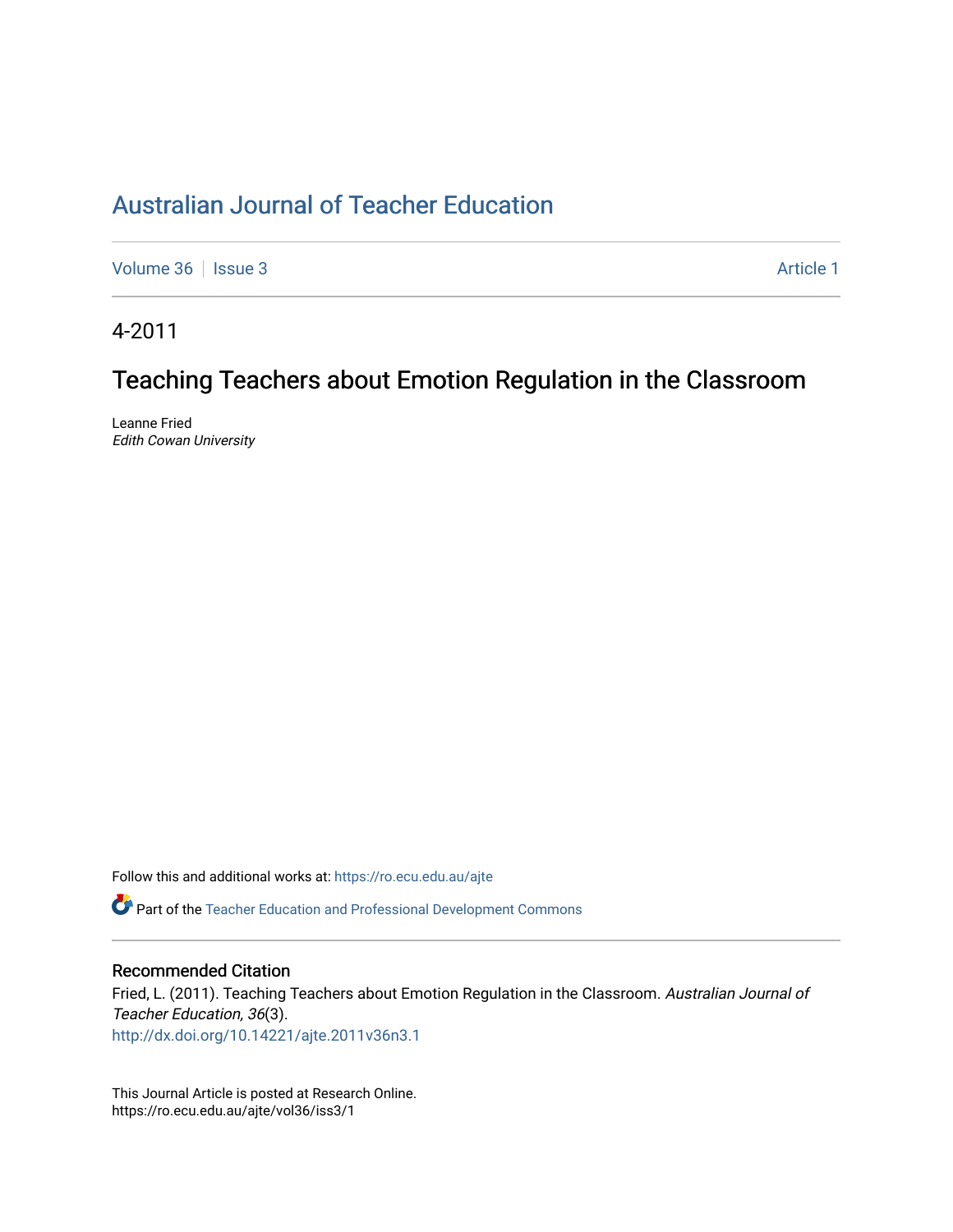# [Australian Journal of Teacher Education](https://ro.ecu.edu.au/ajte)

[Volume 36](https://ro.ecu.edu.au/ajte/vol36) | [Issue 3](https://ro.ecu.edu.au/ajte/vol36/iss3) Article 1

4-2011

# Teaching Teachers about Emotion Regulation in the Classroom

Leanne Fried Edith Cowan University

Follow this and additional works at: [https://ro.ecu.edu.au/ajte](https://ro.ecu.edu.au/ajte?utm_source=ro.ecu.edu.au%2Fajte%2Fvol36%2Fiss3%2F1&utm_medium=PDF&utm_campaign=PDFCoverPages) 

Part of the [Teacher Education and Professional Development Commons](http://network.bepress.com/hgg/discipline/803?utm_source=ro.ecu.edu.au%2Fajte%2Fvol36%2Fiss3%2F1&utm_medium=PDF&utm_campaign=PDFCoverPages)

#### Recommended Citation

Fried, L. (2011). Teaching Teachers about Emotion Regulation in the Classroom. Australian Journal of Teacher Education, 36(3). <http://dx.doi.org/10.14221/ajte.2011v36n3.1>

This Journal Article is posted at Research Online. https://ro.ecu.edu.au/ajte/vol36/iss3/1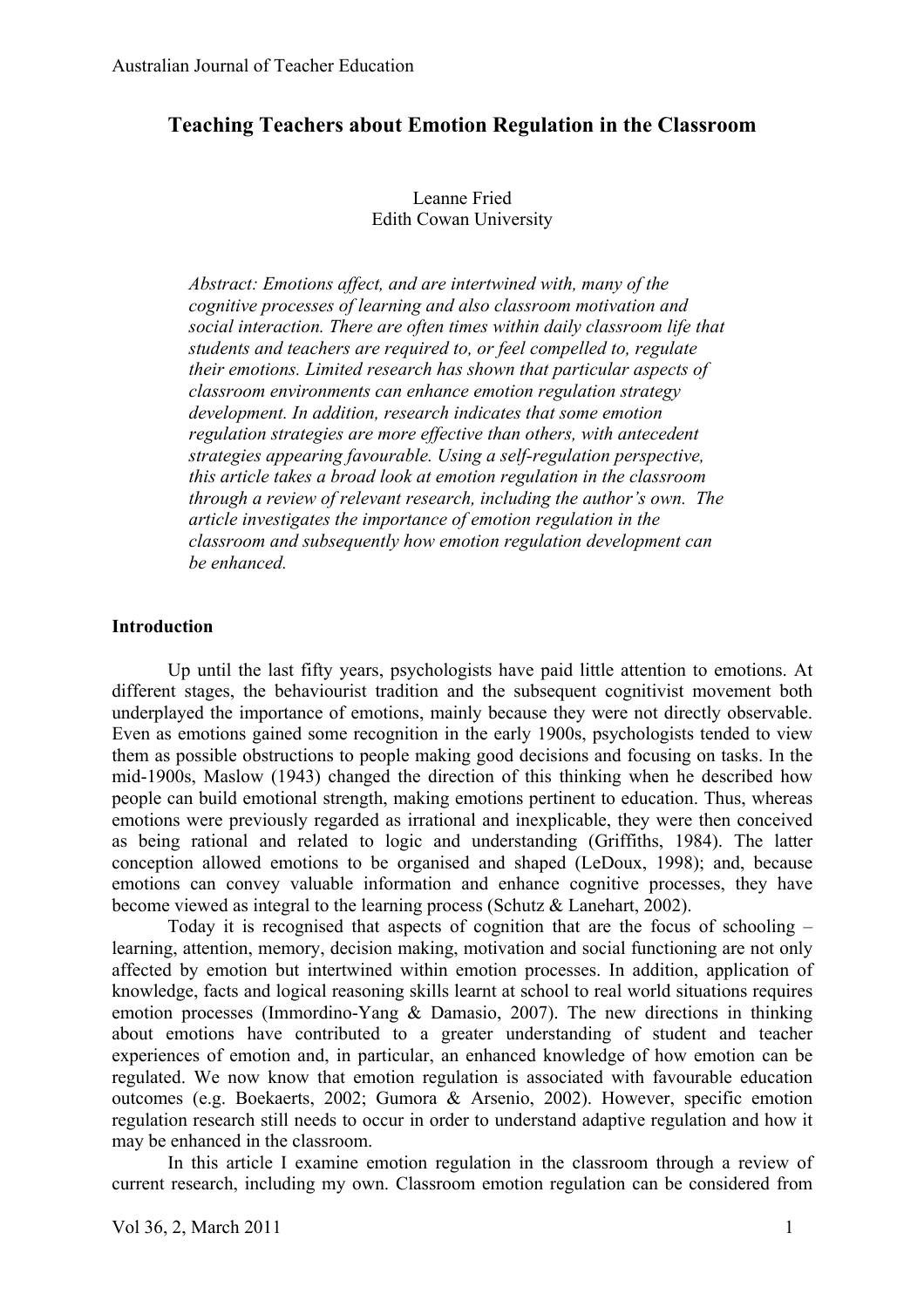# **Teaching Teachers about Emotion Regulation in the Classroom**

# Leanne Fried Edith Cowan University

*Abstract: Emotions affect, and are intertwined with, many of the cognitive processes of learning and also classroom motivation and social interaction. There are often times within daily classroom life that students and teachers are required to, or feel compelled to, regulate their emotions. Limited research has shown that particular aspects of classroom environments can enhance emotion regulation strategy development. In addition, research indicates that some emotion regulation strategies are more effective than others, with antecedent strategies appearing favourable. Using a self-regulation perspective, this article takes a broad look at emotion regulation in the classroom through a review of relevant research, including the author's own. The article investigates the importance of emotion regulation in the classroom and subsequently how emotion regulation development can be enhanced.*

#### **Introduction**

Up until the last fifty years, psychologists have paid little attention to emotions. At different stages, the behaviourist tradition and the subsequent cognitivist movement both underplayed the importance of emotions, mainly because they were not directly observable. Even as emotions gained some recognition in the early 1900s, psychologists tended to view them as possible obstructions to people making good decisions and focusing on tasks. In the mid-1900s, Maslow (1943) changed the direction of this thinking when he described how people can build emotional strength, making emotions pertinent to education. Thus, whereas emotions were previously regarded as irrational and inexplicable, they were then conceived as being rational and related to logic and understanding (Griffiths, 1984). The latter conception allowed emotions to be organised and shaped (LeDoux, 1998); and, because emotions can convey valuable information and enhance cognitive processes, they have become viewed as integral to the learning process (Schutz & Lanehart, 2002).

Today it is recognised that aspects of cognition that are the focus of schooling – learning, attention, memory, decision making, motivation and social functioning are not only affected by emotion but intertwined within emotion processes. In addition, application of knowledge, facts and logical reasoning skills learnt at school to real world situations requires emotion processes (Immordino-Yang & Damasio, 2007). The new directions in thinking about emotions have contributed to a greater understanding of student and teacher experiences of emotion and, in particular, an enhanced knowledge of how emotion can be regulated. We now know that emotion regulation is associated with favourable education outcomes (e.g. Boekaerts, 2002; Gumora & Arsenio, 2002). However, specific emotion regulation research still needs to occur in order to understand adaptive regulation and how it may be enhanced in the classroom.

In this article I examine emotion regulation in the classroom through a review of current research, including my own. Classroom emotion regulation can be considered from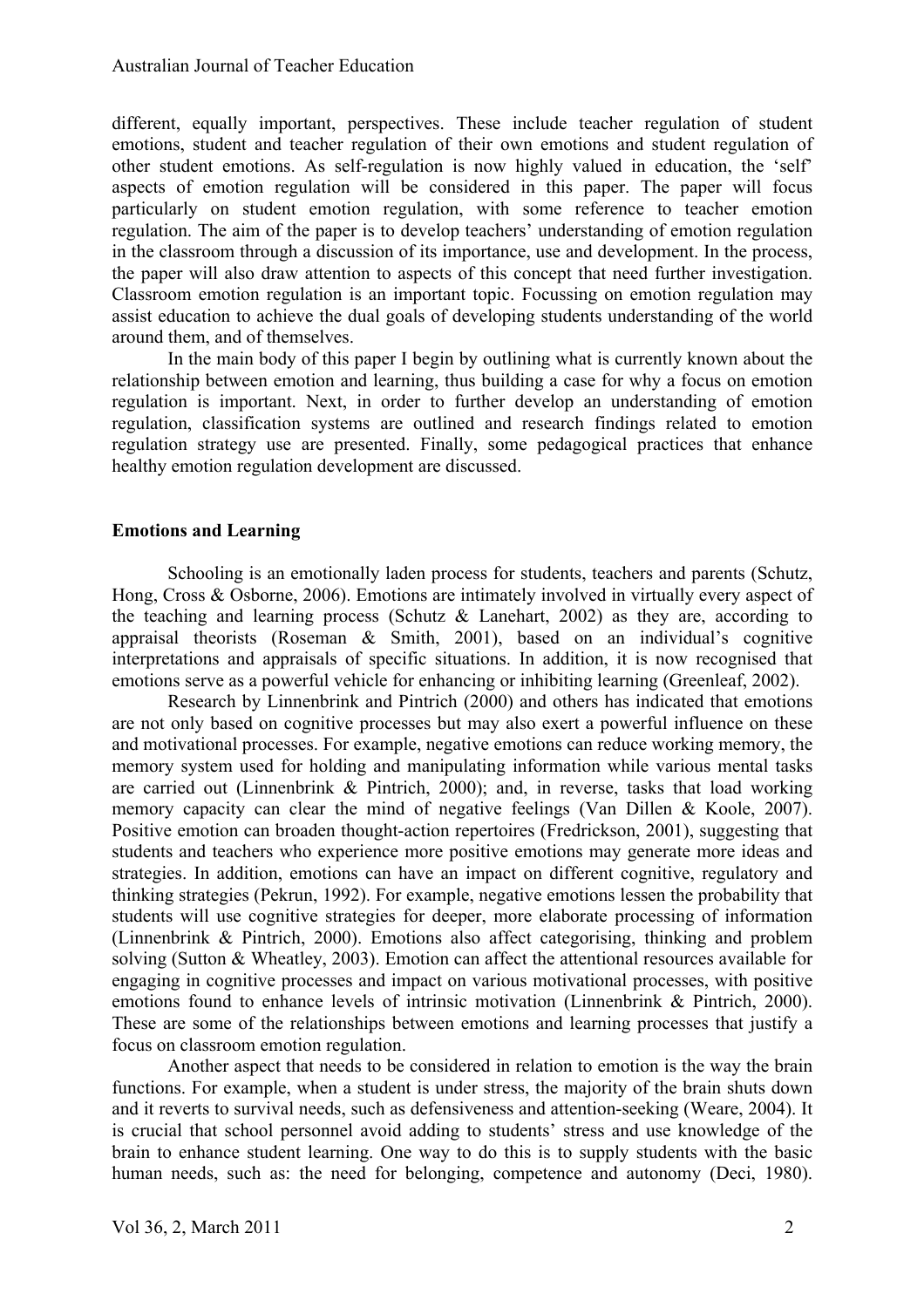different, equally important, perspectives. These include teacher regulation of student emotions, student and teacher regulation of their own emotions and student regulation of other student emotions. As self-regulation is now highly valued in education, the 'self' aspects of emotion regulation will be considered in this paper. The paper will focus particularly on student emotion regulation, with some reference to teacher emotion regulation. The aim of the paper is to develop teachers' understanding of emotion regulation in the classroom through a discussion of its importance, use and development. In the process, the paper will also draw attention to aspects of this concept that need further investigation. Classroom emotion regulation is an important topic. Focussing on emotion regulation may assist education to achieve the dual goals of developing students understanding of the world around them, and of themselves.

In the main body of this paper I begin by outlining what is currently known about the relationship between emotion and learning, thus building a case for why a focus on emotion regulation is important. Next, in order to further develop an understanding of emotion regulation, classification systems are outlined and research findings related to emotion regulation strategy use are presented. Finally, some pedagogical practices that enhance healthy emotion regulation development are discussed.

### **Emotions and Learning**

Schooling is an emotionally laden process for students, teachers and parents (Schutz, Hong, Cross & Osborne, 2006). Emotions are intimately involved in virtually every aspect of the teaching and learning process (Schutz  $\&$  Lanehart, 2002) as they are, according to appraisal theorists (Roseman & Smith, 2001), based on an individual's cognitive interpretations and appraisals of specific situations. In addition, it is now recognised that emotions serve as a powerful vehicle for enhancing or inhibiting learning (Greenleaf, 2002).

Research by Linnenbrink and Pintrich (2000) and others has indicated that emotions are not only based on cognitive processes but may also exert a powerful influence on these and motivational processes. For example, negative emotions can reduce working memory, the memory system used for holding and manipulating information while various mental tasks are carried out (Linnenbrink & Pintrich, 2000); and, in reverse, tasks that load working memory capacity can clear the mind of negative feelings (Van Dillen & Koole, 2007). Positive emotion can broaden thought-action repertoires (Fredrickson, 2001), suggesting that students and teachers who experience more positive emotions may generate more ideas and strategies. In addition, emotions can have an impact on different cognitive, regulatory and thinking strategies (Pekrun, 1992). For example, negative emotions lessen the probability that students will use cognitive strategies for deeper, more elaborate processing of information (Linnenbrink & Pintrich, 2000). Emotions also affect categorising, thinking and problem solving (Sutton & Wheatley, 2003). Emotion can affect the attentional resources available for engaging in cognitive processes and impact on various motivational processes, with positive emotions found to enhance levels of intrinsic motivation (Linnenbrink & Pintrich, 2000). These are some of the relationships between emotions and learning processes that justify a focus on classroom emotion regulation.

Another aspect that needs to be considered in relation to emotion is the way the brain functions. For example, when a student is under stress, the majority of the brain shuts down and it reverts to survival needs, such as defensiveness and attention-seeking (Weare, 2004). It is crucial that school personnel avoid adding to students' stress and use knowledge of the brain to enhance student learning. One way to do this is to supply students with the basic human needs, such as: the need for belonging, competence and autonomy (Deci, 1980).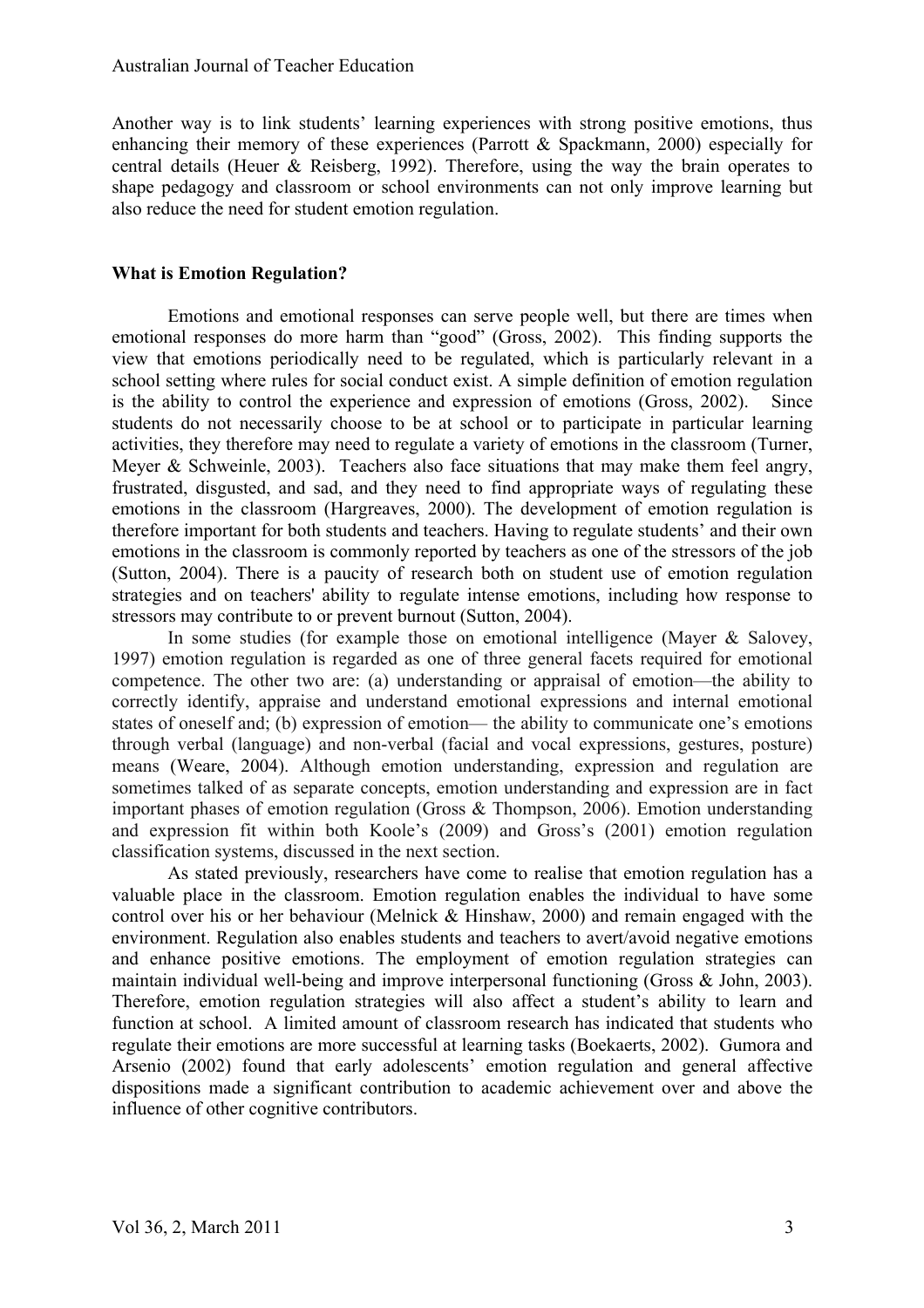Another way is to link students' learning experiences with strong positive emotions, thus enhancing their memory of these experiences (Parrott & Spackmann, 2000) especially for central details (Heuer & Reisberg, 1992). Therefore, using the way the brain operates to shape pedagogy and classroom or school environments can not only improve learning but also reduce the need for student emotion regulation.

### **What is Emotion Regulation?**

Emotions and emotional responses can serve people well, but there are times when emotional responses do more harm than "good" (Gross, 2002). This finding supports the view that emotions periodically need to be regulated, which is particularly relevant in a school setting where rules for social conduct exist. A simple definition of emotion regulation is the ability to control the experience and expression of emotions (Gross, 2002). Since students do not necessarily choose to be at school or to participate in particular learning activities, they therefore may need to regulate a variety of emotions in the classroom (Turner, Meyer & Schweinle, 2003). Teachers also face situations that may make them feel angry, frustrated, disgusted, and sad, and they need to find appropriate ways of regulating these emotions in the classroom (Hargreaves, 2000). The development of emotion regulation is therefore important for both students and teachers. Having to regulate students' and their own emotions in the classroom is commonly reported by teachers as one of the stressors of the job (Sutton, 2004). There is a paucity of research both on student use of emotion regulation strategies and on teachers' ability to regulate intense emotions, including how response to stressors may contribute to or prevent burnout (Sutton, 2004).

In some studies (for example those on emotional intelligence (Mayer & Salovey, 1997) emotion regulation is regarded as one of three general facets required for emotional competence. The other two are: (a) understanding or appraisal of emotion—the ability to correctly identify, appraise and understand emotional expressions and internal emotional states of oneself and; (b) expression of emotion— the ability to communicate one's emotions through verbal (language) and non-verbal (facial and vocal expressions, gestures, posture) means (Weare, 2004). Although emotion understanding, expression and regulation are sometimes talked of as separate concepts, emotion understanding and expression are in fact important phases of emotion regulation (Gross & Thompson, 2006). Emotion understanding and expression fit within both Koole's (2009) and Gross's (2001) emotion regulation classification systems, discussed in the next section.

As stated previously, researchers have come to realise that emotion regulation has a valuable place in the classroom. Emotion regulation enables the individual to have some control over his or her behaviour (Melnick & Hinshaw, 2000) and remain engaged with the environment. Regulation also enables students and teachers to avert/avoid negative emotions and enhance positive emotions. The employment of emotion regulation strategies can maintain individual well-being and improve interpersonal functioning (Gross & John, 2003). Therefore, emotion regulation strategies will also affect a student's ability to learn and function at school. A limited amount of classroom research has indicated that students who regulate their emotions are more successful at learning tasks (Boekaerts, 2002). Gumora and Arsenio (2002) found that early adolescents' emotion regulation and general affective dispositions made a significant contribution to academic achievement over and above the influence of other cognitive contributors.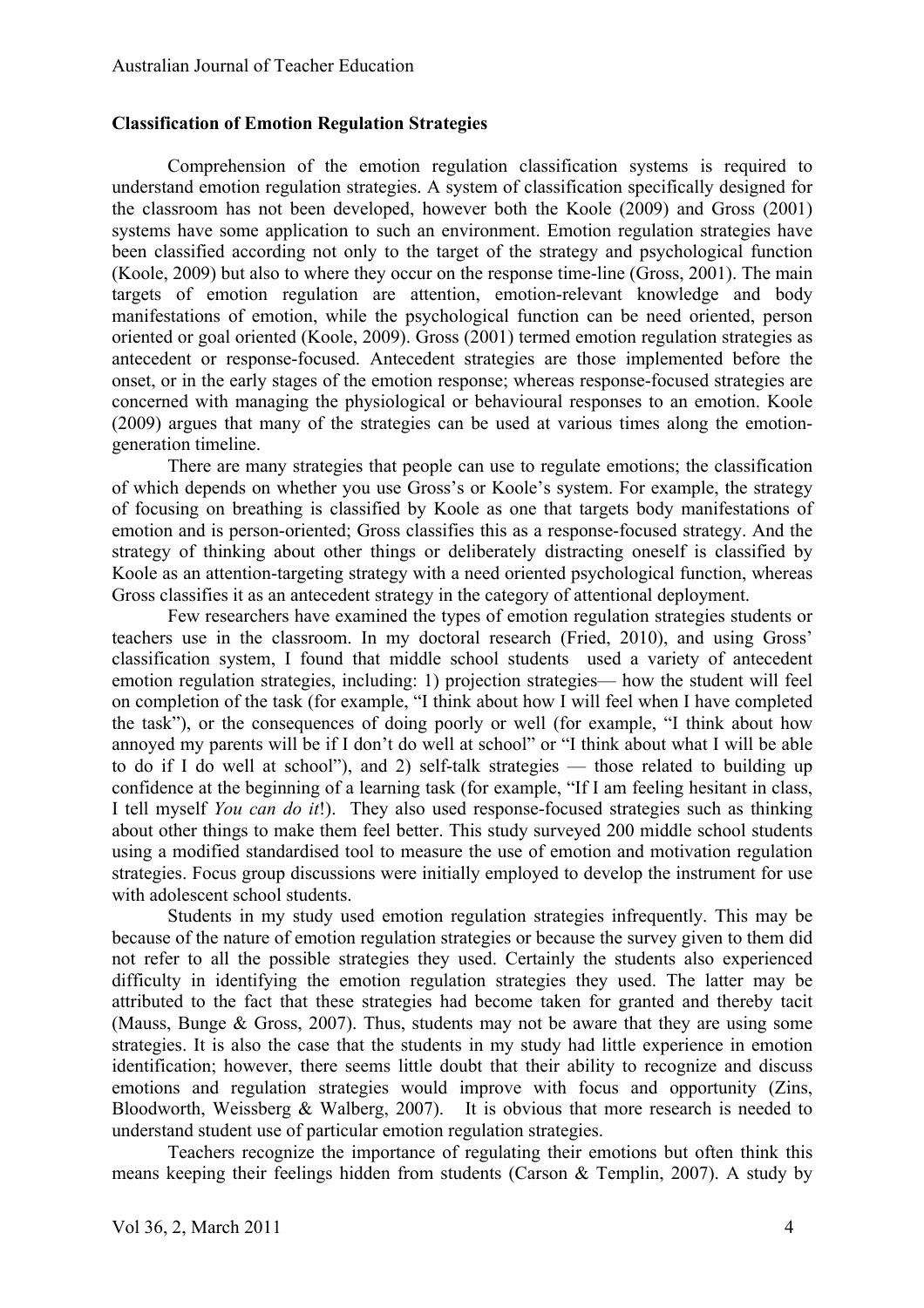#### **Classification of Emotion Regulation Strategies**

Comprehension of the emotion regulation classification systems is required to understand emotion regulation strategies. A system of classification specifically designed for the classroom has not been developed, however both the Koole (2009) and Gross (2001) systems have some application to such an environment. Emotion regulation strategies have been classified according not only to the target of the strategy and psychological function (Koole, 2009) but also to where they occur on the response time-line (Gross, 2001). The main targets of emotion regulation are attention, emotion-relevant knowledge and body manifestations of emotion, while the psychological function can be need oriented, person oriented or goal oriented (Koole, 2009). Gross (2001) termed emotion regulation strategies as antecedent or response-focused. Antecedent strategies are those implemented before the onset, or in the early stages of the emotion response; whereas response-focused strategies are concerned with managing the physiological or behavioural responses to an emotion. Koole (2009) argues that many of the strategies can be used at various times along the emotiongeneration timeline.

There are many strategies that people can use to regulate emotions; the classification of which depends on whether you use Gross's or Koole's system. For example, the strategy of focusing on breathing is classified by Koole as one that targets body manifestations of emotion and is person-oriented; Gross classifies this as a response-focused strategy. And the strategy of thinking about other things or deliberately distracting oneself is classified by Koole as an attention-targeting strategy with a need oriented psychological function, whereas Gross classifies it as an antecedent strategy in the category of attentional deployment.

Few researchers have examined the types of emotion regulation strategies students or teachers use in the classroom. In my doctoral research (Fried, 2010), and using Gross' classification system, I found that middle school students used a variety of antecedent emotion regulation strategies, including: 1) projection strategies— how the student will feel on completion of the task (for example, "I think about how I will feel when I have completed the task"), or the consequences of doing poorly or well (for example, "I think about how annoyed my parents will be if I don't do well at school" or "I think about what I will be able to do if I do well at school"), and 2) self-talk strategies — those related to building up confidence at the beginning of a learning task (for example, "If I am feeling hesitant in class, I tell myself *You can do it*!). They also used response-focused strategies such as thinking about other things to make them feel better. This study surveyed 200 middle school students using a modified standardised tool to measure the use of emotion and motivation regulation strategies. Focus group discussions were initially employed to develop the instrument for use with adolescent school students.

Students in my study used emotion regulation strategies infrequently. This may be because of the nature of emotion regulation strategies or because the survey given to them did not refer to all the possible strategies they used. Certainly the students also experienced difficulty in identifying the emotion regulation strategies they used. The latter may be attributed to the fact that these strategies had become taken for granted and thereby tacit (Mauss, Bunge & Gross, 2007). Thus, students may not be aware that they are using some strategies. It is also the case that the students in my study had little experience in emotion identification; however, there seems little doubt that their ability to recognize and discuss emotions and regulation strategies would improve with focus and opportunity (Zins, Bloodworth, Weissberg  $&$  Walberg, 2007). It is obvious that more research is needed to understand student use of particular emotion regulation strategies.

Teachers recognize the importance of regulating their emotions but often think this means keeping their feelings hidden from students (Carson & Templin, 2007). A study by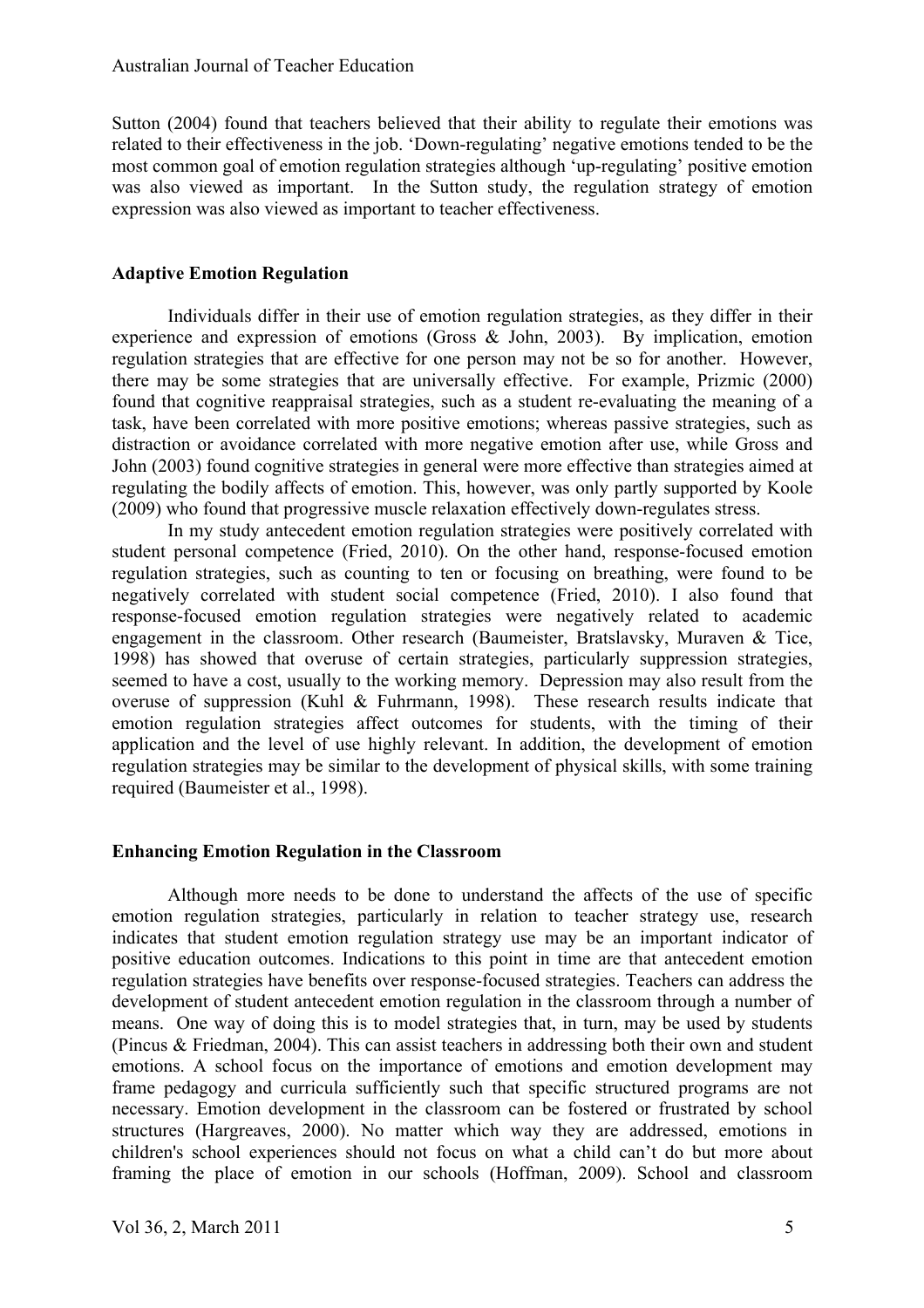Sutton (2004) found that teachers believed that their ability to regulate their emotions was related to their effectiveness in the job. 'Down-regulating' negative emotions tended to be the most common goal of emotion regulation strategies although 'up-regulating' positive emotion was also viewed as important. In the Sutton study, the regulation strategy of emotion expression was also viewed as important to teacher effectiveness.

## **Adaptive Emotion Regulation**

Individuals differ in their use of emotion regulation strategies, as they differ in their experience and expression of emotions (Gross & John, 2003). By implication, emotion regulation strategies that are effective for one person may not be so for another. However, there may be some strategies that are universally effective. For example, Prizmic (2000) found that cognitive reappraisal strategies, such as a student re-evaluating the meaning of a task, have been correlated with more positive emotions; whereas passive strategies, such as distraction or avoidance correlated with more negative emotion after use, while Gross and John (2003) found cognitive strategies in general were more effective than strategies aimed at regulating the bodily affects of emotion. This, however, was only partly supported by Koole (2009) who found that progressive muscle relaxation effectively down-regulates stress.

In my study antecedent emotion regulation strategies were positively correlated with student personal competence (Fried, 2010). On the other hand, response-focused emotion regulation strategies, such as counting to ten or focusing on breathing, were found to be negatively correlated with student social competence (Fried, 2010). I also found that response-focused emotion regulation strategies were negatively related to academic engagement in the classroom. Other research (Baumeister, Bratslavsky, Muraven & Tice, 1998) has showed that overuse of certain strategies, particularly suppression strategies, seemed to have a cost, usually to the working memory. Depression may also result from the overuse of suppression (Kuhl & Fuhrmann, 1998). These research results indicate that emotion regulation strategies affect outcomes for students, with the timing of their application and the level of use highly relevant. In addition, the development of emotion regulation strategies may be similar to the development of physical skills, with some training required (Baumeister et al., 1998).

#### **Enhancing Emotion Regulation in the Classroom**

Although more needs to be done to understand the affects of the use of specific emotion regulation strategies, particularly in relation to teacher strategy use, research indicates that student emotion regulation strategy use may be an important indicator of positive education outcomes. Indications to this point in time are that antecedent emotion regulation strategies have benefits over response-focused strategies. Teachers can address the development of student antecedent emotion regulation in the classroom through a number of means. One way of doing this is to model strategies that, in turn, may be used by students (Pincus & Friedman, 2004). This can assist teachers in addressing both their own and student emotions. A school focus on the importance of emotions and emotion development may frame pedagogy and curricula sufficiently such that specific structured programs are not necessary. Emotion development in the classroom can be fostered or frustrated by school structures (Hargreaves, 2000). No matter which way they are addressed, emotions in children's school experiences should not focus on what a child can't do but more about framing the place of emotion in our schools (Hoffman, 2009). School and classroom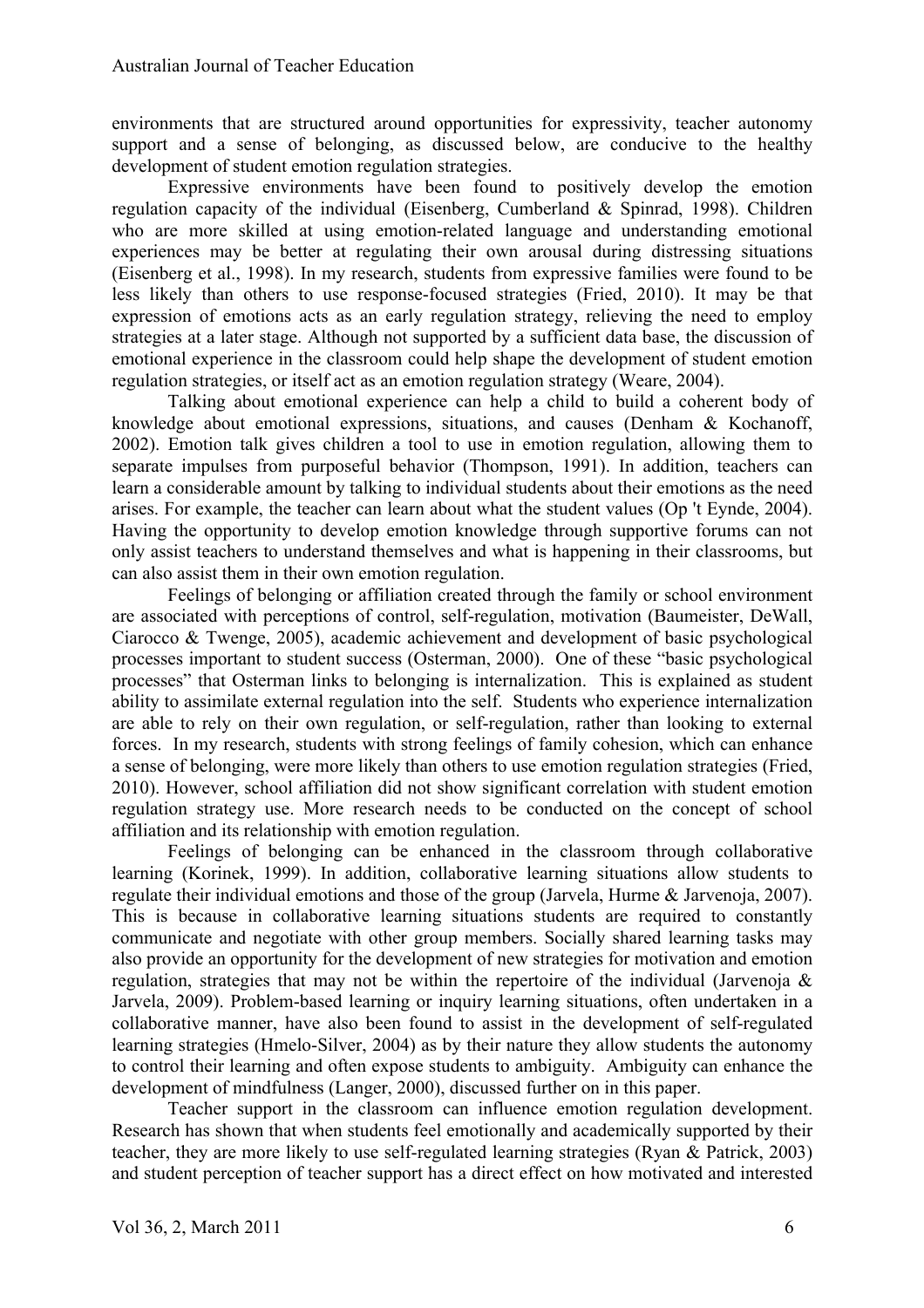environments that are structured around opportunities for expressivity, teacher autonomy support and a sense of belonging, as discussed below, are conducive to the healthy development of student emotion regulation strategies.

Expressive environments have been found to positively develop the emotion regulation capacity of the individual (Eisenberg, Cumberland & Spinrad, 1998). Children who are more skilled at using emotion-related language and understanding emotional experiences may be better at regulating their own arousal during distressing situations (Eisenberg et al., 1998). In my research, students from expressive families were found to be less likely than others to use response-focused strategies (Fried, 2010). It may be that expression of emotions acts as an early regulation strategy, relieving the need to employ strategies at a later stage. Although not supported by a sufficient data base, the discussion of emotional experience in the classroom could help shape the development of student emotion regulation strategies, or itself act as an emotion regulation strategy (Weare, 2004).

Talking about emotional experience can help a child to build a coherent body of knowledge about emotional expressions, situations, and causes (Denham & Kochanoff, 2002). Emotion talk gives children a tool to use in emotion regulation, allowing them to separate impulses from purposeful behavior (Thompson, 1991). In addition, teachers can learn a considerable amount by talking to individual students about their emotions as the need arises. For example, the teacher can learn about what the student values (Op 't Eynde, 2004). Having the opportunity to develop emotion knowledge through supportive forums can not only assist teachers to understand themselves and what is happening in their classrooms, but can also assist them in their own emotion regulation.

Feelings of belonging or affiliation created through the family or school environment are associated with perceptions of control, self-regulation, motivation (Baumeister, DeWall, Ciarocco & Twenge, 2005), academic achievement and development of basic psychological processes important to student success (Osterman, 2000). One of these "basic psychological processes" that Osterman links to belonging is internalization. This is explained as student ability to assimilate external regulation into the self. Students who experience internalization are able to rely on their own regulation, or self-regulation, rather than looking to external forces. In my research, students with strong feelings of family cohesion, which can enhance a sense of belonging, were more likely than others to use emotion regulation strategies (Fried, 2010). However, school affiliation did not show significant correlation with student emotion regulation strategy use. More research needs to be conducted on the concept of school affiliation and its relationship with emotion regulation.

Feelings of belonging can be enhanced in the classroom through collaborative learning (Korinek, 1999). In addition, collaborative learning situations allow students to regulate their individual emotions and those of the group (Jarvela, Hurme & Jarvenoja, 2007). This is because in collaborative learning situations students are required to constantly communicate and negotiate with other group members. Socially shared learning tasks may also provide an opportunity for the development of new strategies for motivation and emotion regulation, strategies that may not be within the repertoire of the individual (Jarvenoja & Jarvela, 2009). Problem-based learning or inquiry learning situations, often undertaken in a collaborative manner, have also been found to assist in the development of self-regulated learning strategies (Hmelo-Silver, 2004) as by their nature they allow students the autonomy to control their learning and often expose students to ambiguity. Ambiguity can enhance the development of mindfulness (Langer, 2000), discussed further on in this paper.

Teacher support in the classroom can influence emotion regulation development. Research has shown that when students feel emotionally and academically supported by their teacher, they are more likely to use self-regulated learning strategies (Ryan & Patrick, 2003) and student perception of teacher support has a direct effect on how motivated and interested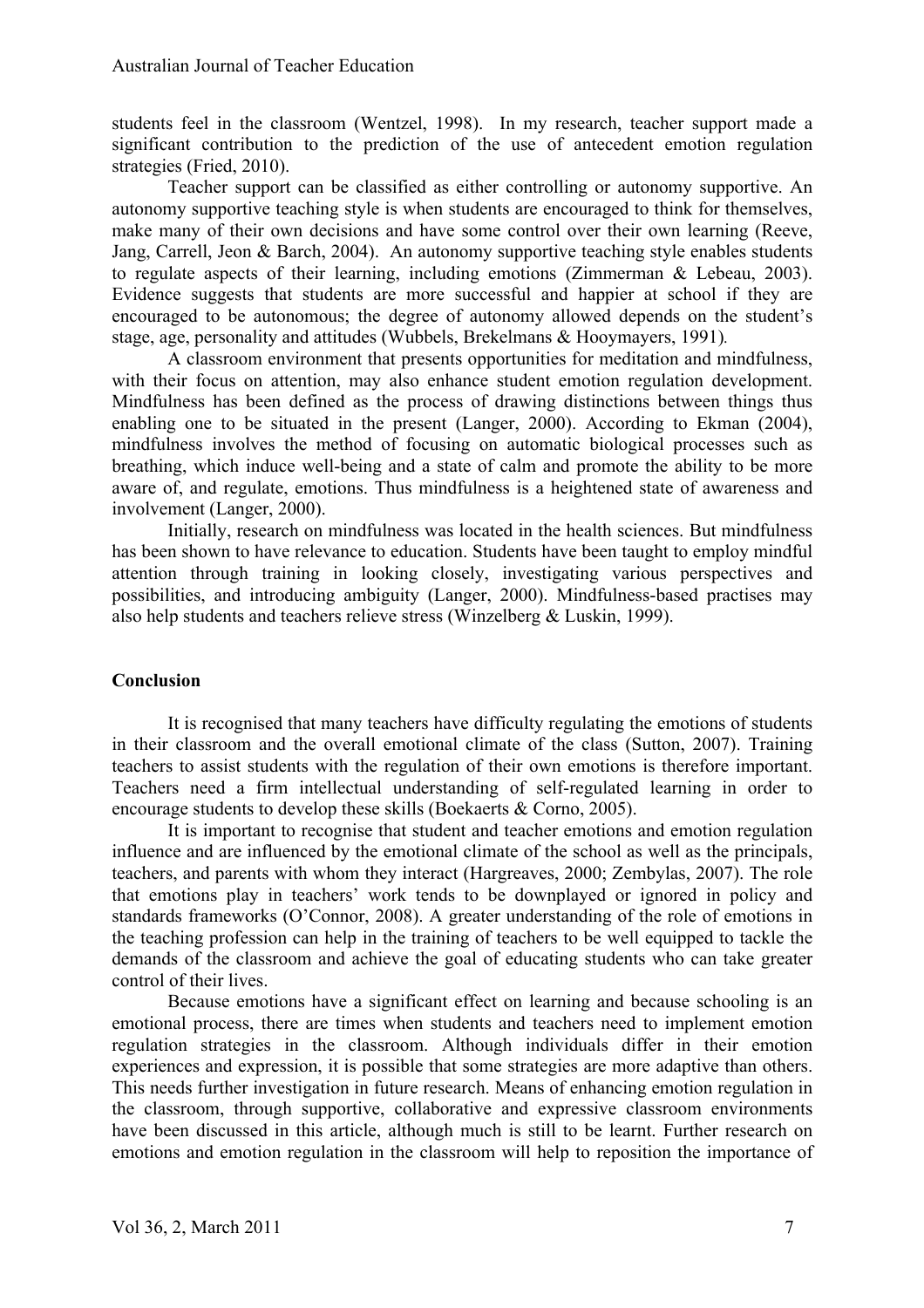students feel in the classroom (Wentzel, 1998). In my research, teacher support made a significant contribution to the prediction of the use of antecedent emotion regulation strategies (Fried, 2010).

Teacher support can be classified as either controlling or autonomy supportive. An autonomy supportive teaching style is when students are encouraged to think for themselves, make many of their own decisions and have some control over their own learning (Reeve, Jang, Carrell, Jeon & Barch, 2004). An autonomy supportive teaching style enables students to regulate aspects of their learning, including emotions (Zimmerman & Lebeau, 2003). Evidence suggests that students are more successful and happier at school if they are encouraged to be autonomous; the degree of autonomy allowed depends on the student's stage, age, personality and attitudes (Wubbels, Brekelmans & Hooymayers, 1991)*.* 

A classroom environment that presents opportunities for meditation and mindfulness, with their focus on attention, may also enhance student emotion regulation development. Mindfulness has been defined as the process of drawing distinctions between things thus enabling one to be situated in the present (Langer, 2000). According to Ekman (2004), mindfulness involves the method of focusing on automatic biological processes such as breathing, which induce well-being and a state of calm and promote the ability to be more aware of, and regulate, emotions. Thus mindfulness is a heightened state of awareness and involvement (Langer, 2000).

Initially, research on mindfulness was located in the health sciences. But mindfulness has been shown to have relevance to education. Students have been taught to employ mindful attention through training in looking closely, investigating various perspectives and possibilities, and introducing ambiguity (Langer, 2000). Mindfulness-based practises may also help students and teachers relieve stress (Winzelberg & Luskin, 1999).

# **Conclusion**

It is recognised that many teachers have difficulty regulating the emotions of students in their classroom and the overall emotional climate of the class (Sutton, 2007). Training teachers to assist students with the regulation of their own emotions is therefore important. Teachers need a firm intellectual understanding of self-regulated learning in order to encourage students to develop these skills (Boekaerts & Corno, 2005).

It is important to recognise that student and teacher emotions and emotion regulation influence and are influenced by the emotional climate of the school as well as the principals, teachers, and parents with whom they interact (Hargreaves, 2000; Zembylas, 2007). The role that emotions play in teachers' work tends to be downplayed or ignored in policy and standards frameworks (O'Connor, 2008). A greater understanding of the role of emotions in the teaching profession can help in the training of teachers to be well equipped to tackle the demands of the classroom and achieve the goal of educating students who can take greater control of their lives.

Because emotions have a significant effect on learning and because schooling is an emotional process, there are times when students and teachers need to implement emotion regulation strategies in the classroom. Although individuals differ in their emotion experiences and expression, it is possible that some strategies are more adaptive than others. This needs further investigation in future research. Means of enhancing emotion regulation in the classroom, through supportive, collaborative and expressive classroom environments have been discussed in this article, although much is still to be learnt. Further research on emotions and emotion regulation in the classroom will help to reposition the importance of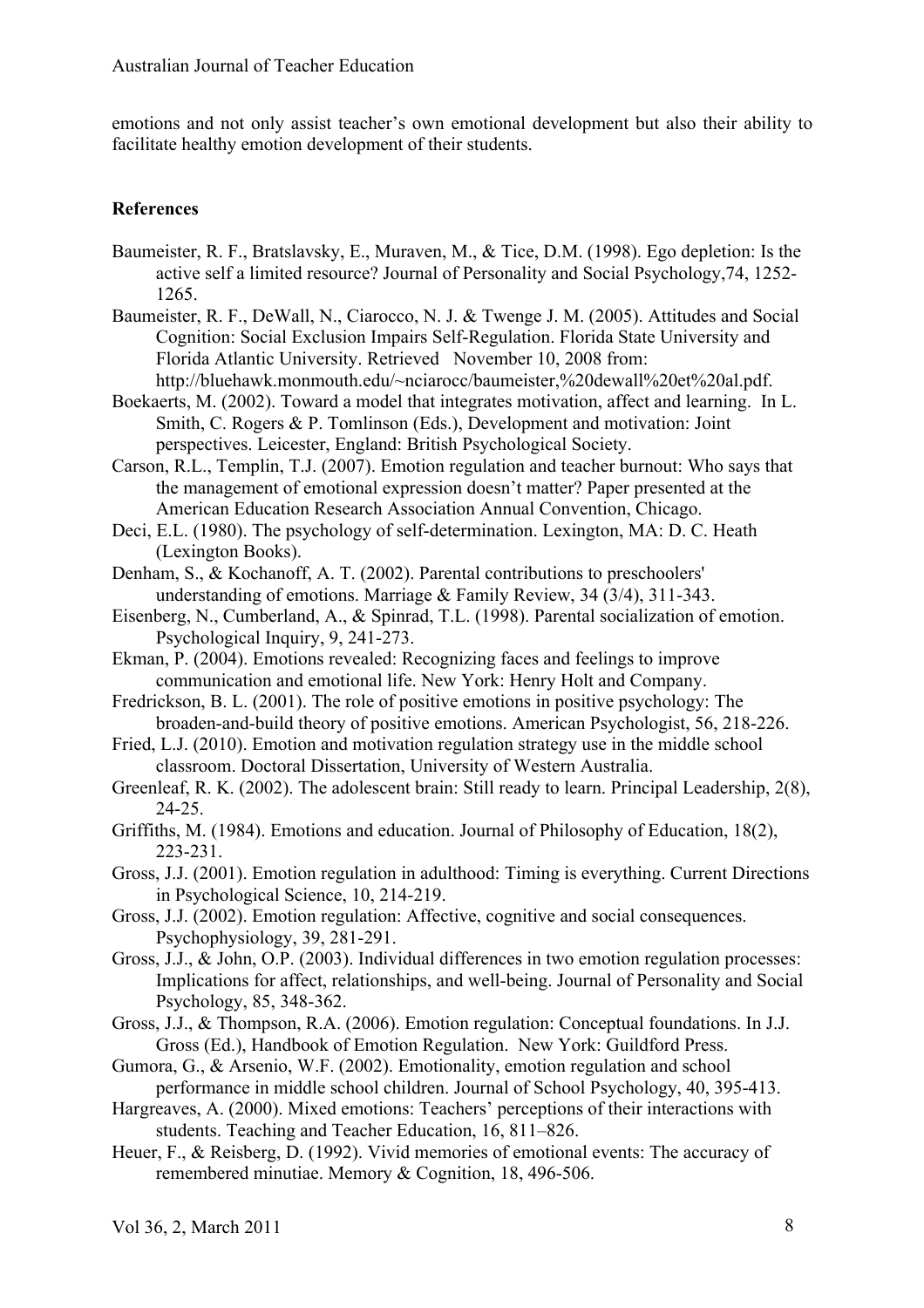emotions and not only assist teacher's own emotional development but also their ability to facilitate healthy emotion development of their students.

# **References**

- Baumeister, R. F., Bratslavsky, E., Muraven, M., & Tice, D.M. (1998). Ego depletion: Is the active self a limited resource? Journal of Personality and Social Psychology,74, 1252- 1265.
- Baumeister, R. F., DeWall, N., Ciarocco, N. J. & Twenge J. M. (2005). Attitudes and Social Cognition: Social Exclusion Impairs Self-Regulation. Florida State University and Florida Atlantic University. Retrieved November 10, 2008 from: http://bluehawk.monmouth.edu/~nciarocc/baumeister.%20dewall%20et%20al.pdf.
- Boekaerts, M. (2002). Toward a model that integrates motivation, affect and learning. In L. Smith, C. Rogers & P. Tomlinson (Eds.), Development and motivation: Joint perspectives. Leicester, England: British Psychological Society.
- Carson, R.L., Templin, T.J. (2007). Emotion regulation and teacher burnout: Who says that the management of emotional expression doesn't matter? Paper presented at the American Education Research Association Annual Convention, Chicago.
- Deci, E.L. (1980). The psychology of self-determination. Lexington, MA: D. C. Heath (Lexington Books).
- Denham, S., & Kochanoff, A. T. (2002). Parental contributions to preschoolers' understanding of emotions. Marriage & Family Review, 34 (3/4), 311-343.
- Eisenberg, N., Cumberland, A., & Spinrad, T.L. (1998). Parental socialization of emotion. Psychological Inquiry, 9, 241-273.
- Ekman, P. (2004). Emotions revealed: Recognizing faces and feelings to improve communication and emotional life. New York: Henry Holt and Company.
- Fredrickson, B. L. (2001). The role of positive emotions in positive psychology: The broaden-and-build theory of positive emotions. American Psychologist, 56, 218-226.
- Fried, L.J. (2010). Emotion and motivation regulation strategy use in the middle school classroom. Doctoral Dissertation, University of Western Australia.
- Greenleaf, R. K. (2002). The adolescent brain: Still ready to learn. Principal Leadership, 2(8), 24-25.
- Griffiths, M. (1984). Emotions and education. Journal of Philosophy of Education, 18(2), 223-231.
- Gross, J.J. (2001). Emotion regulation in adulthood: Timing is everything. Current Directions in Psychological Science, 10, 214-219.
- Gross, J.J. (2002). Emotion regulation: Affective, cognitive and social consequences. Psychophysiology, 39, 281-291.
- Gross, J.J., & John, O.P. (2003). Individual differences in two emotion regulation processes: Implications for affect, relationships, and well-being. Journal of Personality and Social Psychology, 85, 348-362.
- Gross, J.J., & Thompson, R.A. (2006). Emotion regulation: Conceptual foundations. In J.J. Gross (Ed.), Handbook of Emotion Regulation. New York: Guildford Press.
- Gumora, G., & Arsenio, W.F. (2002). Emotionality, emotion regulation and school performance in middle school children. Journal of School Psychology, 40, 395-413.
- Hargreaves, A. (2000). Mixed emotions: Teachers' perceptions of their interactions with students. Teaching and Teacher Education, 16, 811–826.
- Heuer, F., & Reisberg, D. (1992). Vivid memories of emotional events: The accuracy of remembered minutiae. Memory & Cognition, 18, 496-506.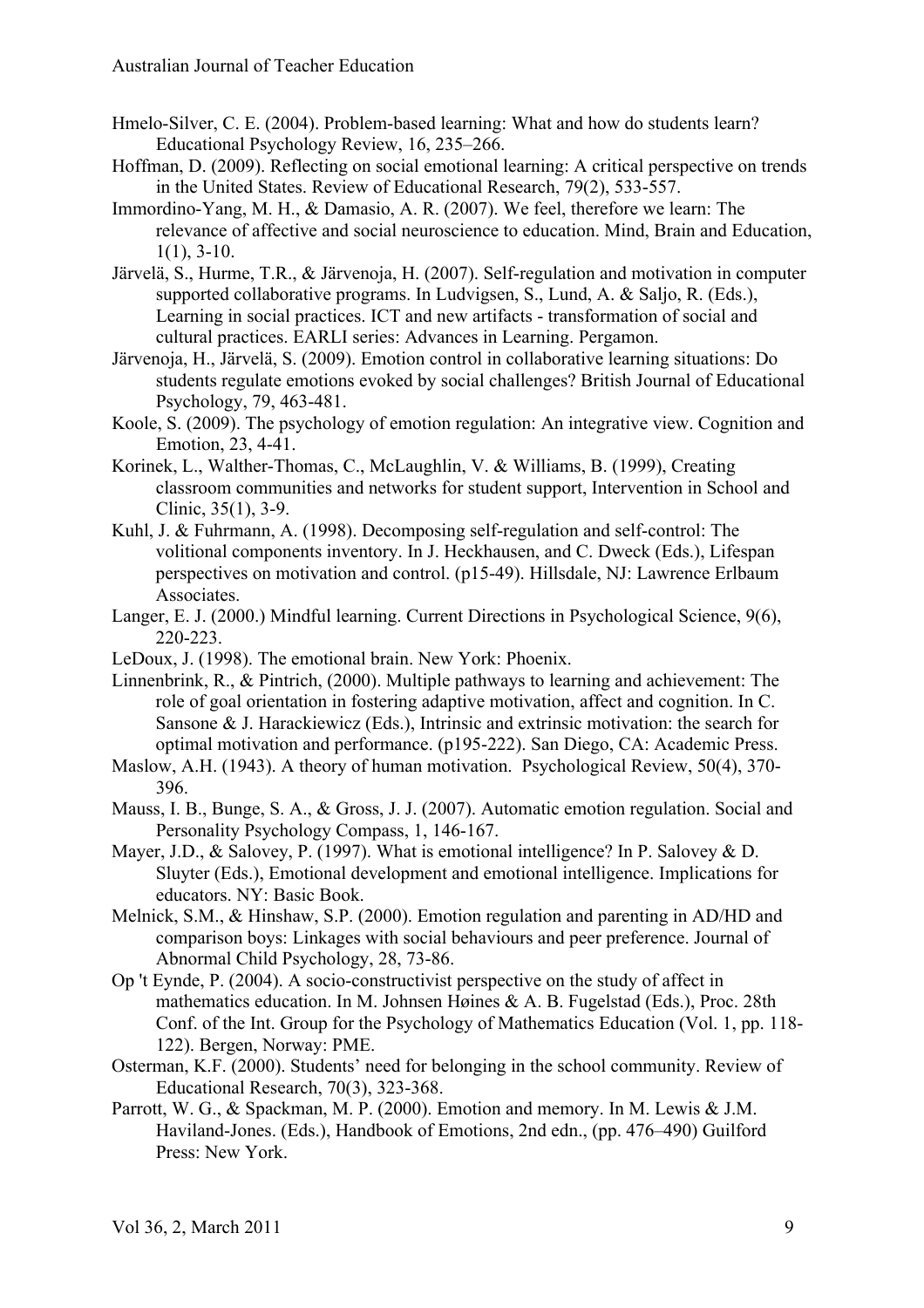- Hmelo-Silver, C. E. (2004). Problem-based learning: What and how do students learn? Educational Psychology Review, 16, 235–266.
- Hoffman, D. (2009). Reflecting on social emotional learning: A critical perspective on trends in the United States. Review of Educational Research, 79(2), 533-557.
- Immordino-Yang, M. H., & Damasio, A. R. (2007). We feel, therefore we learn: The relevance of affective and social neuroscience to education. Mind, Brain and Education,  $1(1)$ ,  $3-10$ .
- Järvelä, S., Hurme, T.R., & Järvenoja, H. (2007). Self-regulation and motivation in computer supported collaborative programs. In Ludvigsen, S., Lund, A. & Saljo, R. (Eds.), Learning in social practices. ICT and new artifacts - transformation of social and cultural practices. EARLI series: Advances in Learning. Pergamon.
- Järvenoja, H., Järvelä, S. (2009). Emotion control in collaborative learning situations: Do students regulate emotions evoked by social challenges? British Journal of Educational Psychology, 79, 463-481.
- Koole, S. (2009). The psychology of emotion regulation: An integrative view. Cognition and Emotion, 23, 4-41.
- Korinek, L., Walther-Thomas, C., McLaughlin, V. & Williams, B. (1999), Creating classroom communities and networks for student support, Intervention in School and Clinic, 35(1), 3-9.
- Kuhl, J. & Fuhrmann, A. (1998). Decomposing self-regulation and self-control: The volitional components inventory. In J. Heckhausen, and C. Dweck (Eds.), Lifespan perspectives on motivation and control. (p15-49). Hillsdale, NJ: Lawrence Erlbaum Associates.
- Langer, E. J. (2000.) Mindful learning. Current Directions in Psychological Science, 9(6), 220-223.
- LeDoux, J. (1998). The emotional brain. New York: Phoenix.
- Linnenbrink, R., & Pintrich, (2000). Multiple pathways to learning and achievement: The role of goal orientation in fostering adaptive motivation, affect and cognition. In C. Sansone & J. Harackiewicz (Eds.), Intrinsic and extrinsic motivation: the search for optimal motivation and performance. (p195-222). San Diego, CA: Academic Press.
- Maslow, A.H. (1943). A theory of human motivation. Psychological Review, 50(4), 370- 396.
- Mauss, I. B., Bunge, S. A., & Gross, J. J. (2007). Automatic emotion regulation. Social and Personality Psychology Compass, 1, 146-167.
- Mayer, J.D., & Salovey, P. (1997). What is emotional intelligence? In P. Salovey & D. Sluyter (Eds.), Emotional development and emotional intelligence. Implications for educators. NY: Basic Book.
- Melnick, S.M., & Hinshaw, S.P. (2000). Emotion regulation and parenting in AD/HD and comparison boys: Linkages with social behaviours and peer preference. Journal of Abnormal Child Psychology, 28, 73-86.
- Op 't Eynde, P. (2004). A socio-constructivist perspective on the study of affect in mathematics education. In M. Johnsen Høines & A. B. Fugelstad (Eds.), Proc. 28th Conf. of the Int. Group for the Psychology of Mathematics Education (Vol. 1, pp. 118- 122). Bergen, Norway: PME.
- Osterman, K.F. (2000). Students' need for belonging in the school community. Review of Educational Research, 70(3), 323-368.
- Parrott, W. G., & Spackman, M. P. (2000). Emotion and memory. In M. Lewis & J.M. Haviland-Jones. (Eds.), Handbook of Emotions, 2nd edn., (pp. 476–490) Guilford Press: New York.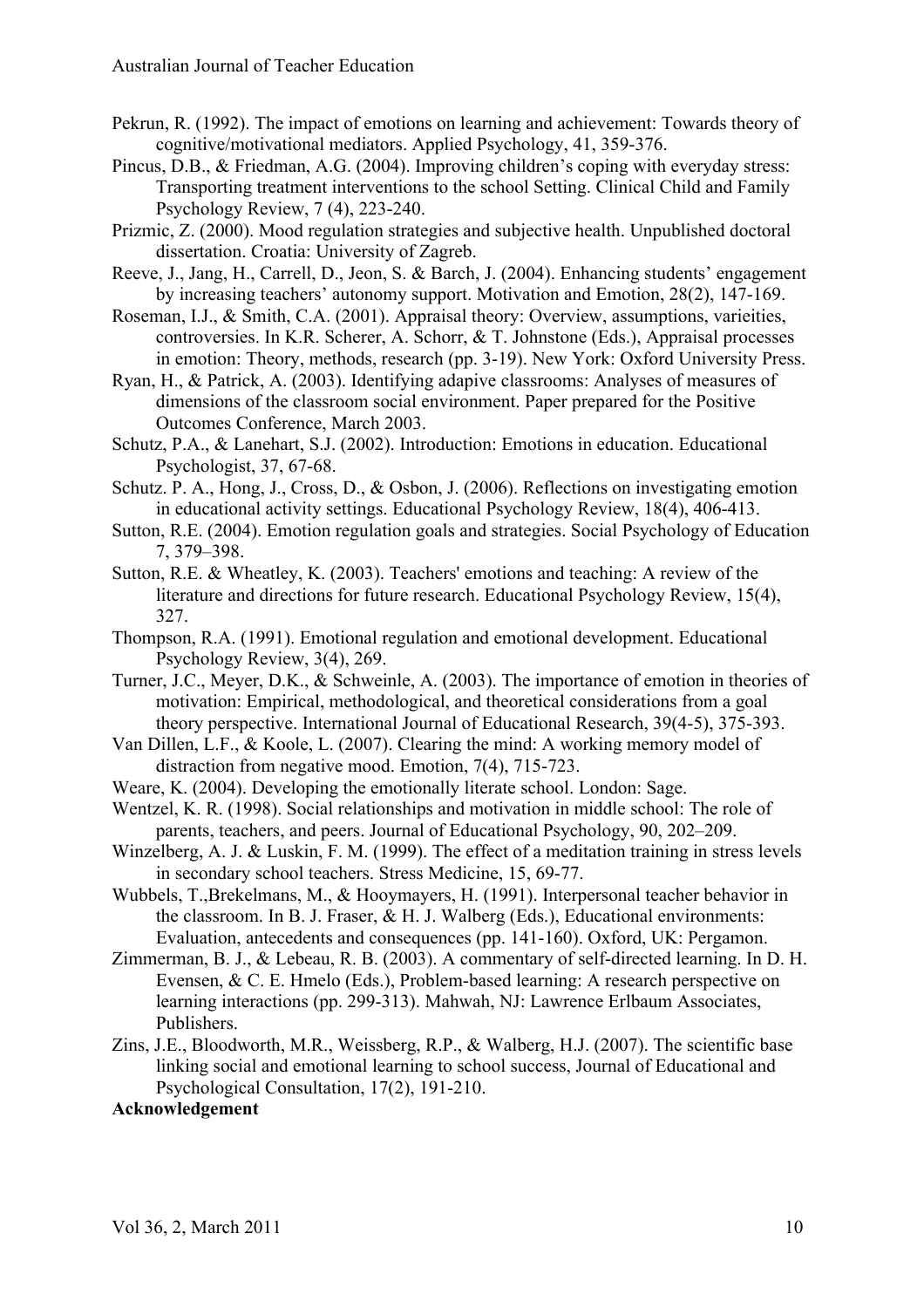- Pekrun, R. (1992). The impact of emotions on learning and achievement: Towards theory of cognitive/motivational mediators. Applied Psychology, 41, 359-376.
- Pincus, D.B., & Friedman, A.G. (2004). Improving children's coping with everyday stress: Transporting treatment interventions to the school Setting. Clinical Child and Family Psychology Review, 7 (4), 223-240.
- Prizmic, Z. (2000). Mood regulation strategies and subjective health. Unpublished doctoral dissertation. Croatia: University of Zagreb.
- Reeve, J., Jang, H., Carrell, D., Jeon, S. & Barch, J. (2004). Enhancing students' engagement by increasing teachers' autonomy support. Motivation and Emotion, 28(2), 147-169.
- Roseman, I.J., & Smith, C.A. (2001). Appraisal theory: Overview, assumptions, varieities, controversies. In K.R. Scherer, A. Schorr, & T. Johnstone (Eds.), Appraisal processes in emotion: Theory, methods, research (pp. 3-19). New York: Oxford University Press.
- Ryan, H., & Patrick, A. (2003). Identifying adapive classrooms: Analyses of measures of dimensions of the classroom social environment. Paper prepared for the Positive Outcomes Conference, March 2003.
- Schutz, P.A., & Lanehart, S.J. (2002). Introduction: Emotions in education. Educational Psychologist, 37, 67-68.
- Schutz. P. A., Hong, J., Cross, D., & Osbon, J. (2006). Reflections on investigating emotion in educational activity settings. Educational Psychology Review, 18(4), 406-413.
- Sutton, R.E. (2004). Emotion regulation goals and strategies. Social Psychology of Education 7, 379–398.
- Sutton, R.E. & Wheatley, K. (2003). Teachers' emotions and teaching: A review of the literature and directions for future research. Educational Psychology Review, 15(4), 327.
- Thompson, R.A. (1991). Emotional regulation and emotional development. Educational Psychology Review, 3(4), 269.
- Turner, J.C., Meyer, D.K., & Schweinle, A. (2003). The importance of emotion in theories of motivation: Empirical, methodological, and theoretical considerations from a goal theory perspective. International Journal of Educational Research, 39(4-5), 375-393.
- Van Dillen, L.F., & Koole, L. (2007). Clearing the mind: A working memory model of distraction from negative mood. Emotion, 7(4), 715-723.
- Weare, K. (2004). Developing the emotionally literate school. London: Sage.
- Wentzel, K. R. (1998). Social relationships and motivation in middle school: The role of parents, teachers, and peers. Journal of Educational Psychology, 90, 202–209.
- Winzelberg, A. J. & Luskin, F. M. (1999). The effect of a meditation training in stress levels in secondary school teachers. Stress Medicine, 15, 69-77.
- Wubbels, T.,Brekelmans, M., & Hooymayers, H. (1991). Interpersonal teacher behavior in the classroom. In B. J. Fraser, & H. J. Walberg (Eds.), Educational environments: Evaluation, antecedents and consequences (pp. 141-160). Oxford, UK: Pergamon.
- Zimmerman, B. J., & Lebeau, R. B. (2003). A commentary of self-directed learning. In D. H. Evensen, & C. E. Hmelo (Eds.), Problem-based learning: A research perspective on learning interactions (pp. 299-313). Mahwah, NJ: Lawrence Erlbaum Associates, Publishers.
- Zins, J.E., Bloodworth, M.R., Weissberg, R.P., & Walberg, H.J. (2007). The scientific base linking social and emotional learning to school success, Journal of Educational and Psychological Consultation, 17(2), 191-210.

# **Acknowledgement**